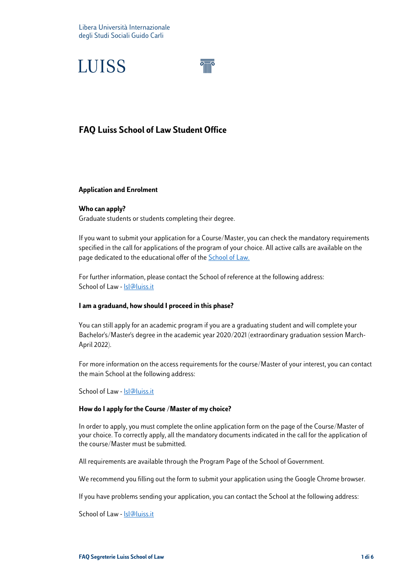

## **FAQ Luiss School of Law Student Office**

#### **Application and Enrolment**

#### **Who can apply?**

Graduate students or students completing their degree.

If you want to submit your application for a Course/Master, you can check the mandatory requirements specified in the call for applications of the program of your choice. All active calls are available on the page dedicated to the educational offer of the **School of Law.** 

For further information, please contact the School of reference at the following address: School of Law - Isl@luiss.it

#### **I am a graduand, how should I proceed in this phase?**

You can still apply for an academic program if you are a graduating student and will complete your Bachelor's/Master's degree in the academic year 2020/2021 (extraordinary graduation session March-April 2022).

For more information on the access requirements for the course/Master of your interest, you can contact the main School at the following address:

School of Law - [lsl@luiss.it](mailto:lsl@luiss.it)

#### **How do I apply for the Course /Master of my choice?**

In order to apply, you must complete the online application form on the page of the Course/Master of your choice. To correctly apply, all the mandatory documents indicated in the call for the application of the course/Master must be submitted.

All requirements are available through the Program Page of the School of Government.

We recommend you filling out the form to submit your application using the Google Chrome browser.

If you have problems sending your application, you can contact the School at the following address:

School of Law - [lsl@luiss.it](mailto:lsl@luiss.it)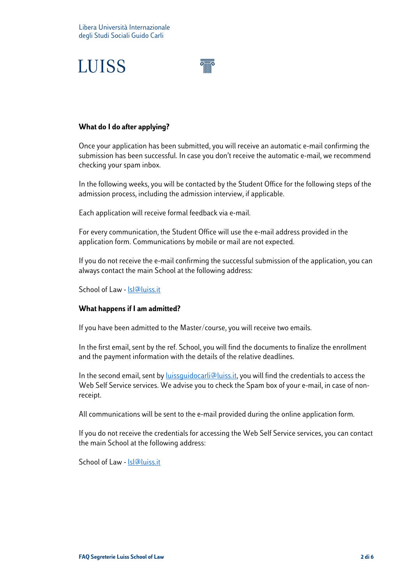

### **What do I do after applying?**

Once your application has been submitted, you will receive an automatic e-mail confirming the submission has been successful. In case you don't receive the automatic e-mail, we recommend checking your spam inbox.

In the following weeks, you will be contacted by the Student Office for the following steps of the admission process, including the admission interview, if applicable.

Each application will receive formal feedback via e-mail.

For every communication, the Student Office will use the e-mail address provided in the application form. Communications by mobile or mail are not expected.

If you do not receive the e-mail confirming the successful submission of the application, you can always contact the main School at the following address:

School of Law - [lsl@luiss.it](mailto:lsl@luiss.it)

### **What happens if I am admitted?**

If you have been admitted to the Master/course, you will receive two emails.

In the first email, sent by the ref. School, you will find the documents to finalize the enrollment and the payment information with the details of the relative deadlines.

In the second email, sent by *luissquidocarli@luiss.it*, you will find the credentials to access the Web Self Service services. We advise you to check the Spam box of your e-mail, in case of nonreceipt.

All communications will be sent to the e-mail provided during the online application form.

If you do not receive the credentials for accessing the Web Self Service services, you can contact the main School at the following address:

School of Law - [lsl@luiss.it](mailto:lsl@luiss.it)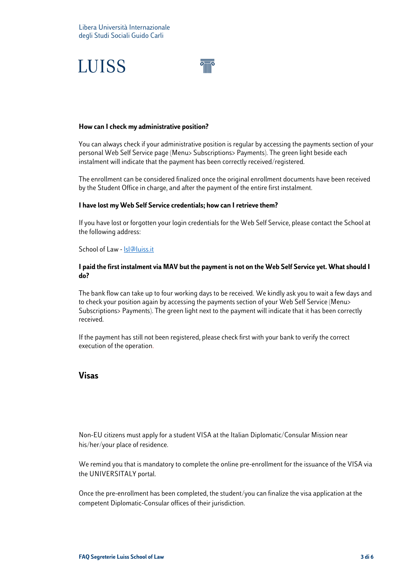

#### **How can I check my administrative position?**

You can always check if your administrative position is regular by accessing the payments section of your personal Web Self Service page (Menu> Subscriptions> Payments). The green light beside each instalment will indicate that the payment has been correctly received/registered.

The enrollment can be considered finalized once the original enrollment documents have been received by the Student Office in charge, and after the payment of the entire first instalment.

#### **I have lost my Web Self Service credentials; how can I retrieve them?**

If you have lost or forgotten your login credentials for the Web Self Service, please contact the School at the following address:

#### School of Law - [lsl@luiss.it](mailto:lsl@luiss.it)

#### **I paid the first instalment via MAV but the payment is not on the Web Self Service yet. What should I do?**

The bank flow can take up to four working days to be received. We kindly ask you to wait a few days and to check your position again by accessing the payments section of your Web Self Service (Menu> Subscriptions> Payments). The green light next to the payment will indicate that it has been correctly received.

If the payment has still not been registered, please check first with your bank to verify the correct execution of the operation.

### **Visas**

Non-EU citizens must apply for a student VISA at the Italian Diplomatic/Consular Mission near his/her/your place of residence.

We remind you that is mandatory to complete the online pre-enrollment for the issuance of the VISA via the UNIVERSITALY portal.

Once the pre-enrollment has been completed, the student/you can finalize the visa application at the competent Diplomatic-Consular offices of their jurisdiction.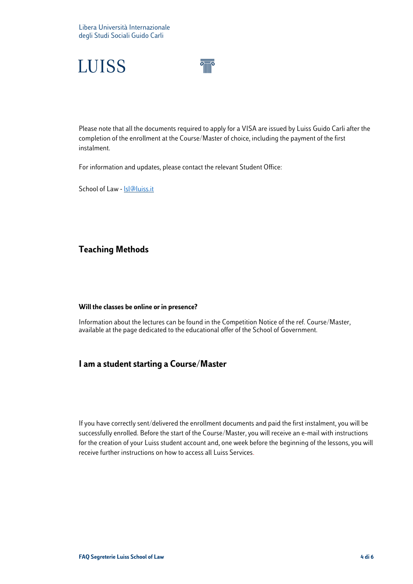



Please note that all the documents required to apply for a VISA are issued by Luiss Guido Carli after the completion of the enrollment at the Course/Master of choice, including the payment of the first instalment.

For information and updates, please contact the relevant Student Office:

School of Law - **Isl@luiss.it** 

## **Teaching Methods**

#### **Will the classes be online or in presence?**

Information about the lectures can be found in the Competition Notice of the ref. Course/Master, available at the page dedicated to the educational offer of the School of Government.

## **I am a student starting a Course/Master**

If you have correctly sent/delivered the enrollment documents and paid the first instalment, you will be successfully enrolled. Before the start of the Course/Master, you will receive an e-mail with instructions for the creation of your Luiss student account and, one week before the beginning of the lessons, you will receive further instructions on how to access all Luiss Services.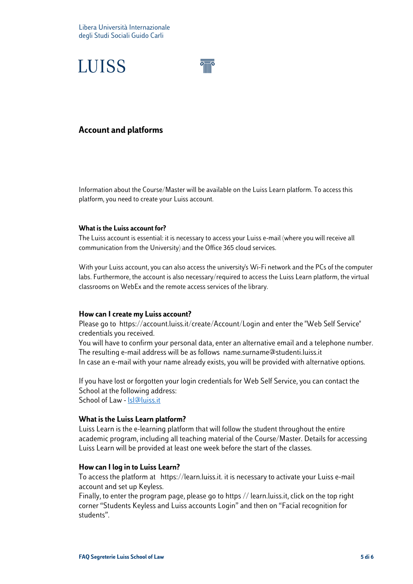

## **Account and platforms**

Information about the Course/Master will be available on the Luiss Learn platform. To access this platform, you need to create your Luiss account.

#### **What is the Luiss account for?**

The Luiss account is essential: it is necessary to access your Luiss e-mail (where you will receive all communication from the University) and the Office 365 cloud services.

With your Luiss account, you can also access the university's Wi-Fi network and the PCs of the computer labs. Furthermore, the account is also necessary/required to access the Luiss Learn platform, the virtual classrooms on WebEx and the remote access services of the library.

#### **How can I create my Luiss account?**

Please go to <https://account.luiss.it/create/Account/Login> and enter the "Web Self Service" credentials you received.

You will have to confirm your personal data, enter an alternative email and a telephone number. The resulting e-mail address will be as follows [name.surname@studenti.luiss.it](mailto:name.surname@studenti.luiss.it) In case an e-mail with your name already exists, you will be provided with alternative options.

If you have lost or forgotten your login credentials for Web Self Service, you can contact the School at the following address: School of Law - Isl@luiss.it

#### **What is the Luiss Learn platform?**

Luiss Learn is the e-learning platform that will follow the student throughout the entire academic program, including all teaching material of the Course/Master. Details for accessing Luiss Learn will be provided at least one week before the start of the classes.

#### **How can I log in to Luiss Learn?**

To access the platform at [https://learn.luiss.it.](https://learn.luiss.it/) it is necessary to activate your Luiss e-mail account and set up Keyless.

Finally, to enter the program page, please go to https // learn.luiss.it, click on the top right corner "Students Keyless and Luiss accounts Login" and then on "Facial recognition for students".